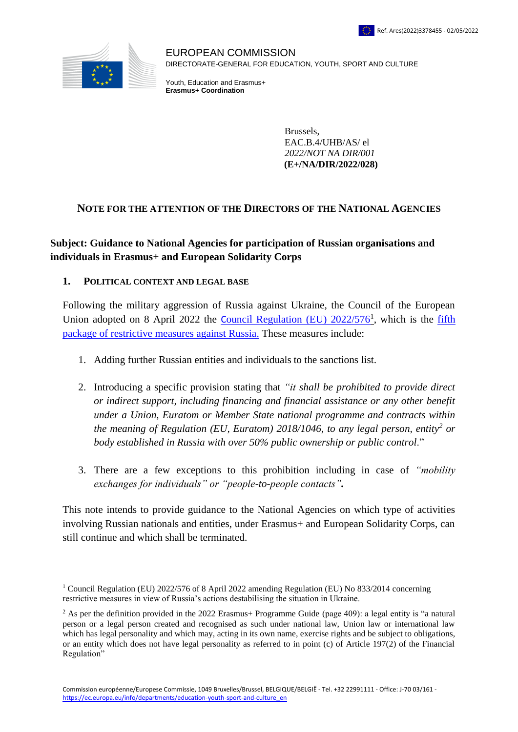

1

EUROPEAN COMMISSION DIRECTORATE-GENERAL FOR EDUCATION, YOUTH, SPORT AND CULTURE

Youth, Education and Erasmus+ **Erasmus+ Coordination**

> Brussels, EAC.B.4/UHB/AS/ el *2022/NOT NA DIR/001*  **(E+/NA/DIR/2022/028)**

#### **NOTE FOR THE ATTENTION OF THE DIRECTORS OF THE NATIONAL AGENCIES**

## **Subject: Guidance to National Agencies for participation of Russian organisations and individuals in Erasmus+ and European Solidarity Corps**

#### **1. POLITICAL CONTEXT AND LEGAL BASE**

Following the military aggression of Russia against Ukraine, the Council of the European Union adopted on 8 April 2022 the **C[ouncil Regulation \(EU\) 2022/576](https://eur-lex.europa.eu/legal-content/EN/TXT/?uri=uriserv%3AOJ.L_.2022.111.01.0001.01.ENG&toc=OJ%3AL%3A2022%3A111%3ATOC)**, which is the *fifth* [package of restrictive measures against Russia.](https://eur-lex.europa.eu/legal-content/EN/TXT/?uri=OJ:L:2022:111:TOC) These measures include:

- 1. Adding further Russian entities and individuals to the sanctions list.
- 2. Introducing a specific provision stating that *"it shall be prohibited to provide direct or indirect support, including financing and financial assistance or any other benefit under a Union, Euratom or Member State national programme and contracts within the meaning of Regulation (EU, Euratom) 2018/1046, to any legal person, entity<sup>2</sup> or body established in Russia with over 50% public ownership or public control*."
- 3. There are a few exceptions to this prohibition including in case of *"mobility exchanges for individuals" or "people-to-people contacts".*

This note intends to provide guidance to the National Agencies on which type of activities involving Russian nationals and entities, under Erasmus+ and European Solidarity Corps, can still continue and which shall be terminated.

<sup>&</sup>lt;sup>1</sup> Council Regulation (EU) 2022/576 of 8 April 2022 amending Regulation (EU) No 833/2014 concerning restrictive measures in view of Russia's actions destabilising the situation in Ukraine.

<sup>&</sup>lt;sup>2</sup> As per the definition provided in the 2022 Erasmus+ Programme Guide (page 409): a legal entity is "a natural person or a legal person created and recognised as such under national law, Union law or international law which has legal personality and which may, acting in its own name, exercise rights and be subject to obligations, or an entity which does not have legal personality as referred to in point (c) of Article 197(2) of the Financial Regulation"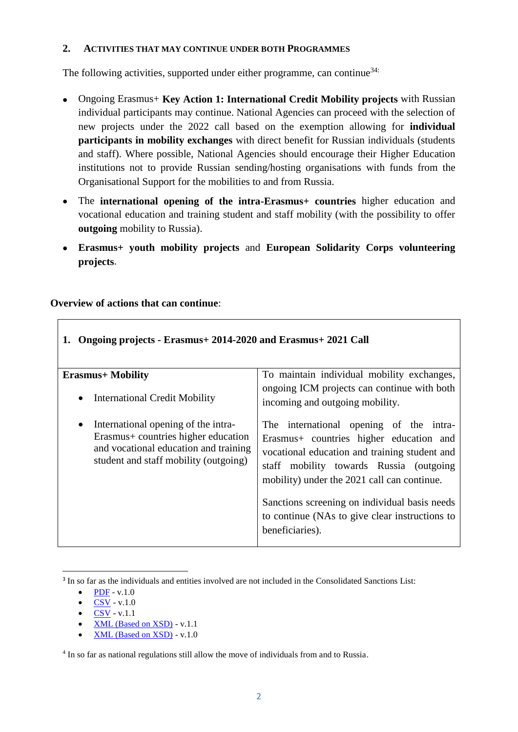#### **2. ACTIVITIES THAT MAY CONTINUE UNDER BOTH PROGRAMMES**

The following activities, supported under either programme, can continue<sup>34:</sup>

- Ongoing Erasmus+ **Key Action 1: International Credit Mobility projects** with Russian individual participants may continue. National Agencies can proceed with the selection of new projects under the 2022 call based on the exemption allowing for **individual participants in mobility exchanges** with direct benefit for Russian individuals (students and staff). Where possible, National Agencies should encourage their Higher Education institutions not to provide Russian sending/hosting organisations with funds from the Organisational Support for the mobilities to and from Russia.
- The **international opening of the intra-Erasmus+ countries** higher education and vocational education and training student and staff mobility (with the possibility to offer **outgoing** mobility to Russia).
- **Erasmus+ youth mobility projects** and **European Solidarity Corps volunteering projects**.

#### **Overview of actions that can continue**:

| 1. Ongoing projects - Erasmus + 2014-2020 and Erasmus + 2021 Call                                                                                                          |                                                                                                                                                                                                                                                                                                                                                      |  |
|----------------------------------------------------------------------------------------------------------------------------------------------------------------------------|------------------------------------------------------------------------------------------------------------------------------------------------------------------------------------------------------------------------------------------------------------------------------------------------------------------------------------------------------|--|
| <b>Erasmus+ Mobility</b>                                                                                                                                                   | To maintain individual mobility exchanges,                                                                                                                                                                                                                                                                                                           |  |
| <b>International Credit Mobility</b><br>$\bullet$                                                                                                                          | ongoing ICM projects can continue with both<br>incoming and outgoing mobility.                                                                                                                                                                                                                                                                       |  |
| International opening of the intra-<br>$\bullet$<br>Erasmus + countries higher education<br>and vocational education and training<br>student and staff mobility (outgoing) | The international opening of the intra-<br>Erasmus+ countries higher education and<br>vocational education and training student and<br>staff mobility towards Russia (outgoing)<br>mobility) under the 2021 call can continue.<br>Sanctions screening on individual basis needs<br>to continue (NAs to give clear instructions to<br>beneficiaries). |  |

1 <sup>3</sup> In so far as the individuals and entities involved are not included in the Consolidated Sanctions List:

- [CSV](https://webgate.ec.europa.eu/fsd/fsf/public/files/csvFullSanctionsList_1_1/content?token=vealead) v.1.1
- [XML \(Based on XSD\)](https://webgate.ec.europa.eu/fsd/fsf/public/files/xmlFullSanctionsList_1_1/content?token=vealead) v.1.1
- [XML \(Based on XSD\)](https://webgate.ec.europa.eu/fsd/fsf/public/files/xmlFullSanctionsList/content?token=vealead) v.1.0

<sup>4</sup> In so far as national regulations still allow the move of individuals from and to Russia.

[PDF](https://webgate.ec.europa.eu/fsd/fsf/public/files/pdfFullSanctionsList/content?token=vealead) - v.1.0

[CSV](https://webgate.ec.europa.eu/fsd/fsf/public/files/csvFullSanctionsList/content?token=vealead) - v.1.0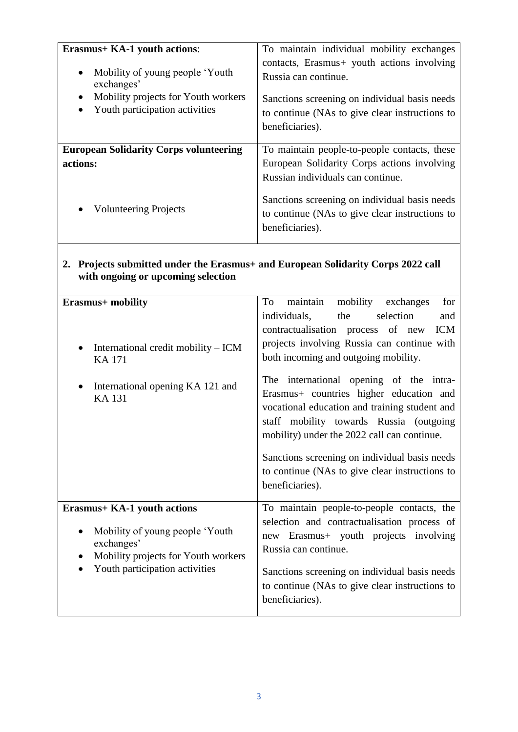| <b>Erasmus+ KA-1 youth actions:</b>                                                       | To maintain individual mobility exchanges                                                                                                                                                                                                              |
|-------------------------------------------------------------------------------------------|--------------------------------------------------------------------------------------------------------------------------------------------------------------------------------------------------------------------------------------------------------|
| Mobility of young people 'Youth                                                           | contacts, Erasmus+ youth actions involving                                                                                                                                                                                                             |
| $\bullet$                                                                                 | Russia can continue.                                                                                                                                                                                                                                   |
| exchanges'                                                                                | Sanctions screening on individual basis needs                                                                                                                                                                                                          |
| Mobility projects for Youth workers                                                       | to continue (NAs to give clear instructions to                                                                                                                                                                                                         |
| Youth participation activities                                                            | beneficiaries).                                                                                                                                                                                                                                        |
| <b>European Solidarity Corps volunteering</b><br>actions:<br><b>Volunteering Projects</b> | To maintain people-to-people contacts, these<br>European Solidarity Corps actions involving<br>Russian individuals can continue.<br>Sanctions screening on individual basis needs<br>to continue (NAs to give clear instructions to<br>beneficiaries). |

#### **2. Projects submitted under the Erasmus+ and European Solidarity Corps 2022 call with ongoing or upcoming selection**

| Erasmus+ mobility                                                                                                                                                         | mobility<br>maintain<br>for<br>To<br>exchanges                                                                                                                                                                                                                                                                                                                                                                                                                                                                                           |
|---------------------------------------------------------------------------------------------------------------------------------------------------------------------------|------------------------------------------------------------------------------------------------------------------------------------------------------------------------------------------------------------------------------------------------------------------------------------------------------------------------------------------------------------------------------------------------------------------------------------------------------------------------------------------------------------------------------------------|
| International credit mobility – ICM<br>$\bullet$<br><b>KA171</b><br>International opening KA 121 and<br><b>KA131</b>                                                      | individuals,<br>the<br>selection<br>and<br>contractualisation process of new<br><b>ICM</b><br>projects involving Russia can continue with<br>both incoming and outgoing mobility.<br>The international opening of the intra-<br>Erasmus+ countries higher education and<br>vocational education and training student and<br>staff mobility towards Russia (outgoing<br>mobility) under the 2022 call can continue.<br>Sanctions screening on individual basis needs<br>to continue (NAs to give clear instructions to<br>beneficiaries). |
| <b>Erasmus+ KA-1 youth actions</b><br>Mobility of young people 'Youth<br>exchanges'<br>Mobility projects for Youth workers<br>$\bullet$<br>Youth participation activities | To maintain people-to-people contacts, the<br>selection and contractualisation process of<br>new Erasmus+ youth projects involving<br>Russia can continue.<br>Sanctions screening on individual basis needs<br>to continue (NAs to give clear instructions to<br>beneficiaries).                                                                                                                                                                                                                                                         |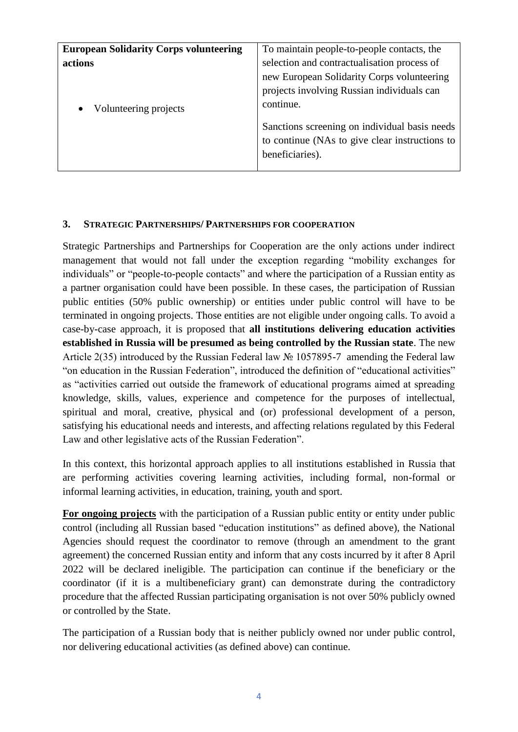| <b>European Solidarity Corps volunteering</b> | To maintain people-to-people contacts, the     |
|-----------------------------------------------|------------------------------------------------|
| <b>actions</b>                                | selection and contractualisation process of    |
|                                               | new European Solidarity Corps volunteering     |
|                                               | projects involving Russian individuals can     |
| Volunteering projects                         | continue.                                      |
|                                               | Sanctions screening on individual basis needs  |
|                                               | to continue (NAs to give clear instructions to |
|                                               | beneficiaries).                                |
|                                               |                                                |

## **3. STRATEGIC PARTNERSHIPS/ PARTNERSHIPS FOR COOPERATION**

Strategic Partnerships and Partnerships for Cooperation are the only actions under indirect management that would not fall under the exception regarding "mobility exchanges for individuals" or "people-to-people contacts" and where the participation of a Russian entity as a partner organisation could have been possible. In these cases, the participation of Russian public entities (50% public ownership) or entities under public control will have to be terminated in ongoing projects. Those entities are not eligible under ongoing calls. To avoid a case-by-case approach, it is proposed that **all institutions delivering education activities established in Russia will be presumed as being controlled by the Russian state**. The new Article 2(35) introduced by the Russian Federal law № 1057895-7 amending the Federal law "on education in the Russian Federation", introduced the definition of "educational activities" as "activities carried out outside the framework of educational programs aimed at spreading knowledge, skills, values, experience and competence for the purposes of intellectual, spiritual and moral, creative, physical and (or) professional development of a person, satisfying his educational needs and interests, and affecting relations regulated by this Federal Law and other legislative acts of the Russian Federation".

In this context, this horizontal approach applies to all institutions established in Russia that are performing activities covering learning activities, including formal, non-formal or informal learning activities, in education, training, youth and sport.

**For ongoing projects** with the participation of a Russian public entity or entity under public control (including all Russian based "education institutions" as defined above), the National Agencies should request the coordinator to remove (through an amendment to the grant agreement) the concerned Russian entity and inform that any costs incurred by it after 8 April 2022 will be declared ineligible. The participation can continue if the beneficiary or the coordinator (if it is a multibeneficiary grant) can demonstrate during the contradictory procedure that the affected Russian participating organisation is not over 50% publicly owned or controlled by the State.

The participation of a Russian body that is neither publicly owned nor under public control, nor delivering educational activities (as defined above) can continue.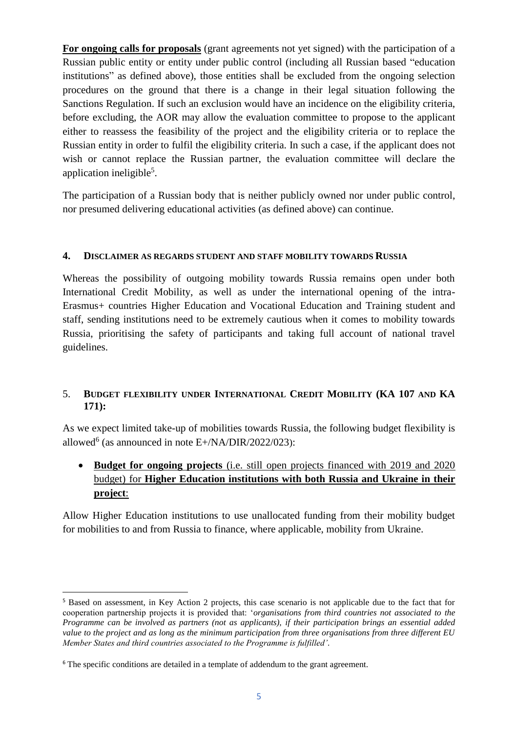**For ongoing calls for proposals** (grant agreements not yet signed) with the participation of a Russian public entity or entity under public control (including all Russian based "education institutions" as defined above), those entities shall be excluded from the ongoing selection procedures on the ground that there is a change in their legal situation following the Sanctions Regulation. If such an exclusion would have an incidence on the eligibility criteria, before excluding, the AOR may allow the evaluation committee to propose to the applicant either to reassess the feasibility of the project and the eligibility criteria or to replace the Russian entity in order to fulfil the eligibility criteria. In such a case, if the applicant does not wish or cannot replace the Russian partner, the evaluation committee will declare the application ineligible<sup>5</sup>.

The participation of a Russian body that is neither publicly owned nor under public control, nor presumed delivering educational activities (as defined above) can continue.

#### **4. DISCLAIMER AS REGARDS STUDENT AND STAFF MOBILITY TOWARDS RUSSIA**

Whereas the possibility of outgoing mobility towards Russia remains open under both International Credit Mobility, as well as under the international opening of the intra-Erasmus+ countries Higher Education and Vocational Education and Training student and staff, sending institutions need to be extremely cautious when it comes to mobility towards Russia, prioritising the safety of participants and taking full account of national travel guidelines.

## 5. **BUDGET FLEXIBILITY UNDER INTERNATIONAL CREDIT MOBILITY (KA 107 AND KA 171):**

As we expect limited take-up of mobilities towards Russia, the following budget flexibility is allowed<sup>6</sup> (as announced in note E+/NA/DIR/2022/023):

# **Budget for ongoing projects** (i.e. still open projects financed with 2019 and 2020 budget) for **Higher Education institutions with both Russia and Ukraine in their project**:

Allow Higher Education institutions to use unallocated funding from their mobility budget for mobilities to and from Russia to finance, where applicable, mobility from Ukraine.

1

<sup>5</sup> Based on assessment, in Key Action 2 projects, this case scenario is not applicable due to the fact that for cooperation partnership projects it is provided that: '*organisations from third countries not associated to the Programme can be involved as partners (not as applicants), if their participation brings an essential added value to the project and as long as the minimum participation from three organisations from three different EU Member States and third countries associated to the Programme is fulfilled'.*

<sup>&</sup>lt;sup>6</sup> The specific conditions are detailed in a template of addendum to the grant agreement.